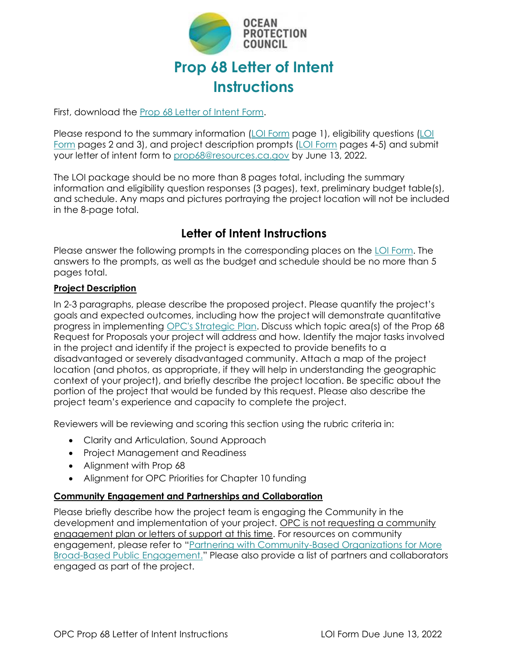

First, download the [Prop 68 Letter of Intent Form.](https://www.opc.ca.gov/webmaster/_media_library/2022/05/Prop-68-Letter-of-Intent-CNRA-OPC-068.docx)

Please respond to the summary information [\(LOI Form](https://www.opc.ca.gov/webmaster/_media_library/2022/05/Prop-68-Letter-of-Intent-CNRA-OPC-068.docx) page 1), eligibility questions (LOI [Form](https://www.opc.ca.gov/webmaster/_media_library/2022/05/Prop-68-Letter-of-Intent-CNRA-OPC-068.docx) pages 2 and 3), and project description prompts [\(LOI Form](https://www.opc.ca.gov/webmaster/_media_library/2022/05/Prop-68-Letter-of-Intent-CNRA-OPC-068.docx) pages 4-5) and submit your letter of intent form to [prop68@resources.ca.gov](mailto:prop68@resources.ca.gov) by June 13, 2022.

The LOI package should be no more than 8 pages total, including the summary information and eligibility question responses (3 pages), text, preliminary budget table(s), and schedule. Any maps and pictures portraying the project location will not be included in the 8-page total.

# **Letter of Intent Instructions**

Please answer the following prompts in the corresponding places on the [LOI Form.](https://www.opc.ca.gov/webmaster/_media_library/2022/05/Prop-68-Letter-of-Intent-CNRA-OPC-068.docx) The answers to the prompts, as well as the budget and schedule should be no more than 5 pages total.

#### **Project Description**

In 2-3 paragraphs, please describe the proposed project. Please quantify the project's goals and expected outcomes, including how the project will demonstrate quantitative progress in implementing OPC's [Strategic](http://www.opc.ca.gov/webmaster/ftp/pdf/2020-2025-strategic-plan/OPC-2020-2025-Strategic-Plan-FINAL-20200228.pdf) Plan. Discuss which topic area(s) of the Prop 68 Request for Proposals your project will address and how*.* Identify the major tasks involved in the project and identify if the project is expected to provide benefits to a disadvantaged or severely disadvantaged community. Attach a map of the project location (and photos, as appropriate, if they will help in understanding the geographic context of your project), and briefly describe the project location. Be specific about the portion of the project that would be funded by this request. Please also describe the project team's experience and capacity to complete the project.

Reviewers will be reviewing and scoring this section using the rubric criteria in:

- Clarity and Articulation, Sound Approach
- Project Management and Readiness
- Alignment with Prop 68
- Alignment for OPC Priorities for Chapter 10 funding

## **Community Engagement and Partnerships and Collaboration**

Please briefly describe how the project team is engaging the Community in the development and implementation of your project. OPC is not requesting a community engagement plan or letters of support at this time. For resources on community engagement, please refer to "Partnering with [Community-Based](https://www.ca-ilg.org/sites/main/files/file-attachments/partnering_with_comm_based_orgs_final.pdf) Organizations for More Broad-Based Public [Engagement.](https://www.ca-ilg.org/sites/main/files/file-attachments/partnering_with_comm_based_orgs_final.pdf)" Please also provide a list of partners and collaborators engaged as part of the project.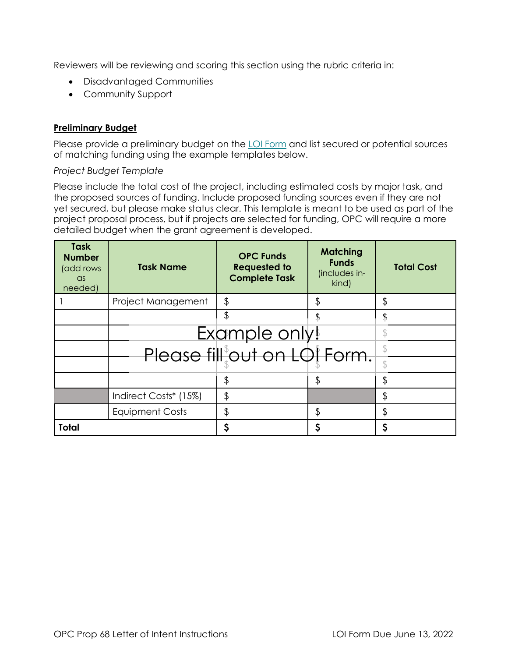Reviewers will be reviewing and scoring this section using the rubric criteria in:

- Disadvantaged Communities
- Community Support

## **Preliminary Budget**

Please provide a preliminary budget on the [LOI Form](https://www.opc.ca.gov/webmaster/_media_library/2022/05/Prop-68-Letter-of-Intent-CNRA-OPC-068.docx) and list secured or potential sources of matching funding using the example templates below.

#### *Project Budget Template*

Please include the total cost of the project, including estimated costs by major task, and the proposed sources of funding. Include proposed funding sources even if they are not yet secured, but please make status clear. This template is meant to be used as part of the project proposal process, but if projects are selected for funding, OPC will require a more detailed budget when the grant agreement is developed.

| <b>Task</b><br><b>Number</b><br>(add rows<br>$\alpha$ s<br>needed) | <b>Task Name</b>       | <b>OPC Funds</b><br><b>Requested to</b><br><b>Complete Task</b> | <b>Matching</b><br><b>Funds</b><br>(includes in-<br>kind) | <b>Total Cost</b> |
|--------------------------------------------------------------------|------------------------|-----------------------------------------------------------------|-----------------------------------------------------------|-------------------|
|                                                                    | Project Management     | \$                                                              | \$                                                        |                   |
|                                                                    |                        |                                                                 |                                                           |                   |
|                                                                    |                        | Example only!                                                   |                                                           |                   |
|                                                                    |                        | Please fill <sup>\$</sup> out on LOI Form.                      |                                                           |                   |
|                                                                    |                        | \$                                                              | \$                                                        |                   |
|                                                                    | Indirect Costs* (15%)  | \$                                                              |                                                           | \$                |
|                                                                    | <b>Equipment Costs</b> | \$                                                              | \$                                                        | \$                |
| <b>Total</b>                                                       |                        | \$                                                              |                                                           | S                 |